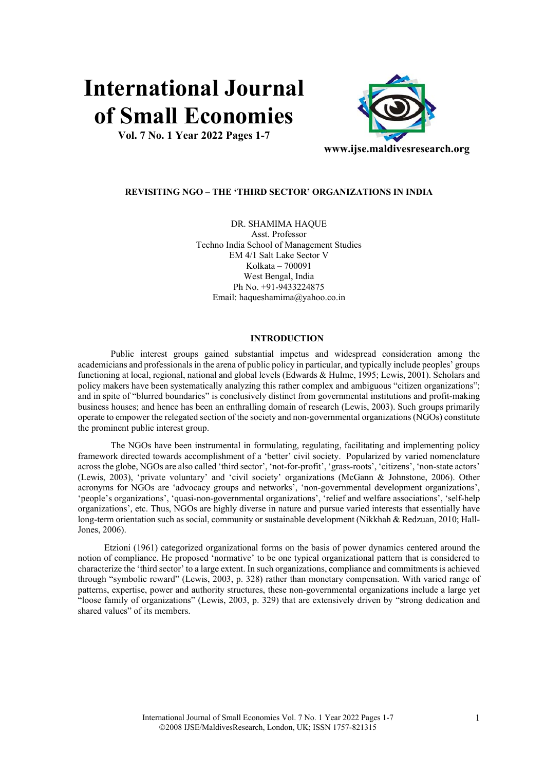# **International Journal of Small Economies**

**Vol. 7 No. 1 Year 2022 Pages 1-7** 



## **REVISITING NGO – THE 'THIRD SECTOR' ORGANIZATIONS IN INDIA**

DR. SHAMIMA HAQUE Asst. Professor Techno India School of Management Studies EM 4/1 Salt Lake Sector V Kolkata – 700091 West Bengal, India Ph No. +91-9433224875 Email: haqueshamima@yahoo.co.in

# **INTRODUCTION**

Public interest groups gained substantial impetus and widespread consideration among the academicians and professionals in the arena of public policy in particular, and typically include peoples' groups functioning at local, regional, national and global levels (Edwards & Hulme, 1995; Lewis, 2001). Scholars and policy makers have been systematically analyzing this rather complex and ambiguous "citizen organizations"; and in spite of "blurred boundaries" is conclusively distinct from governmental institutions and profit-making business houses; and hence has been an enthralling domain of research (Lewis, 2003). Such groups primarily operate to empower the relegated section of the society and non-governmental organizations (NGOs) constitute the prominent public interest group.

The NGOs have been instrumental in formulating, regulating, facilitating and implementing policy framework directed towards accomplishment of a 'better' civil society. Popularized by varied nomenclature across the globe, NGOs are also called 'third sector', 'not-for-profit', 'grass-roots', 'citizens', 'non-state actors' (Lewis, 2003), 'private voluntary' and 'civil society' organizations (McGann & Johnstone, 2006). Other acronyms for NGOs are 'advocacy groups and networks', 'non-governmental development organizations', 'people's organizations', 'quasi-non-governmental organizations', 'relief and welfare associations', 'self-help organizations', etc. Thus, NGOs are highly diverse in nature and pursue varied interests that essentially have long-term orientation such as social, community or sustainable development (Nikkhah & Redzuan, 2010; Hall-Jones, 2006).

Etzioni (1961) categorized organizational forms on the basis of power dynamics centered around the notion of compliance. He proposed 'normative' to be one typical organizational pattern that is considered to characterize the 'third sector' to a large extent. In such organizations, compliance and commitments is achieved through "symbolic reward" (Lewis, 2003, p. 328) rather than monetary compensation. With varied range of patterns, expertise, power and authority structures, these non-governmental organizations include a large yet "loose family of organizations" (Lewis, 2003, p. 329) that are extensively driven by "strong dedication and shared values" of its members.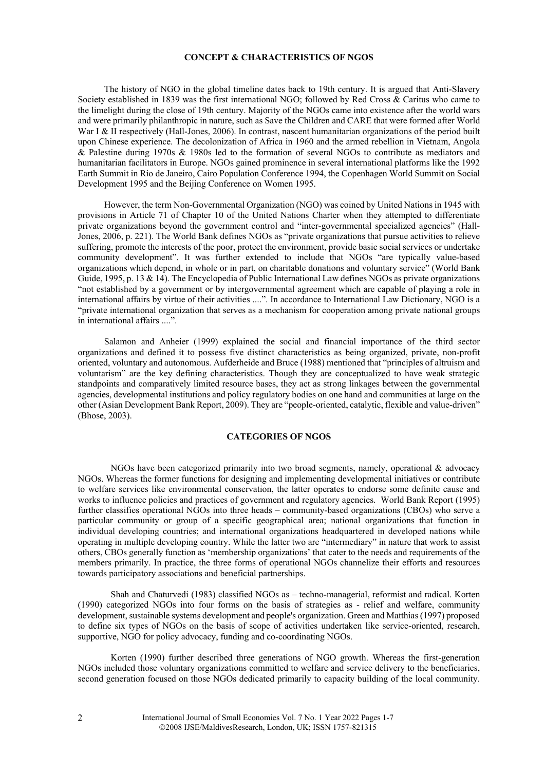## **CONCEPT & CHARACTERISTICS OF NGOS**

The history of NGO in the global timeline dates back to 19th century. It is argued that Anti-Slavery Society established in 1839 was the first international NGO; followed by Red Cross & Caritus who came to the limelight during the close of 19th century. Majority of the NGOs came into existence after the world wars and were primarily philanthropic in nature, such as Save the Children and CARE that were formed after World War I & II respectively (Hall-Jones, 2006). In contrast, nascent humanitarian organizations of the period built upon Chinese experience. The decolonization of Africa in 1960 and the armed rebellion in Vietnam, Angola & Palestine during 1970s & 1980s led to the formation of several NGOs to contribute as mediators and humanitarian facilitators in Europe. NGOs gained prominence in several international platforms like the 1992 Earth Summit in Rio de Janeiro, Cairo Population Conference 1994, the Copenhagen World Summit on Social Development 1995 and the Beijing Conference on Women 1995.

However, the term Non-Governmental Organization (NGO) was coined by United Nations in 1945 with provisions in Article 71 of Chapter 10 of the United Nations Charter when they attempted to differentiate private organizations beyond the government control and "inter-governmental specialized agencies" (Hall-Jones, 2006, p. 221). The World Bank defines NGOs as "private organizations that pursue activities to relieve suffering, promote the interests of the poor, protect the environment, provide basic social services or undertake community development". It was further extended to include that NGOs "are typically value-based organizations which depend, in whole or in part, on charitable donations and voluntary service" (World Bank Guide, 1995, p. 13 & 14). The Encyclopedia of Public International Law defines NGOs as private organizations "not established by a government or by intergovernmental agreement which are capable of playing a role in international affairs by virtue of their activities ....". In accordance to International Law Dictionary, NGO is a "private international organization that serves as a mechanism for cooperation among private national groups in international affairs ....".

Salamon and Anheier (1999) explained the social and financial importance of the third sector organizations and defined it to possess five distinct characteristics as being organized, private, non-profit oriented, voluntary and autonomous. Aufderheide and Bruce (1988) mentioned that "principles of altruism and voluntarism" are the key defining characteristics. Though they are conceptualized to have weak strategic standpoints and comparatively limited resource bases, they act as strong linkages between the governmental agencies, developmental institutions and policy regulatory bodies on one hand and communities at large on the other (Asian Development Bank Report, 2009). They are "people-oriented, catalytic, flexible and value-driven" (Bhose, 2003).

# **CATEGORIES OF NGOS**

NGOs have been categorized primarily into two broad segments, namely, operational & advocacy NGOs. Whereas the former functions for designing and implementing developmental initiatives or contribute to welfare services like environmental conservation, the latter operates to endorse some definite cause and works to influence policies and practices of government and regulatory agencies. World Bank Report (1995) further classifies operational NGOs into three heads – community-based organizations (CBOs) who serve a particular community or group of a specific geographical area; national organizations that function in individual developing countries; and international organizations headquartered in developed nations while operating in multiple developing country. While the latter two are "intermediary" in nature that work to assist others, CBOs generally function as 'membership organizations' that cater to the needs and requirements of the members primarily. In practice, the three forms of operational NGOs channelize their efforts and resources towards participatory associations and beneficial partnerships.

Shah and Chaturvedi (1983) classified NGOs as – techno-managerial, reformist and radical. Korten (1990) categorized NGOs into four forms on the basis of strategies as - relief and welfare, community development, sustainable systems development and people's organization. Green and Matthias (1997) proposed to define six types of NGOs on the basis of scope of activities undertaken like service-oriented, research, supportive, NGO for policy advocacy, funding and co-coordinating NGOs.

Korten (1990) further described three generations of NGO growth. Whereas the first-generation NGOs included those voluntary organizations committed to welfare and service delivery to the beneficiaries, second generation focused on those NGOs dedicated primarily to capacity building of the local community.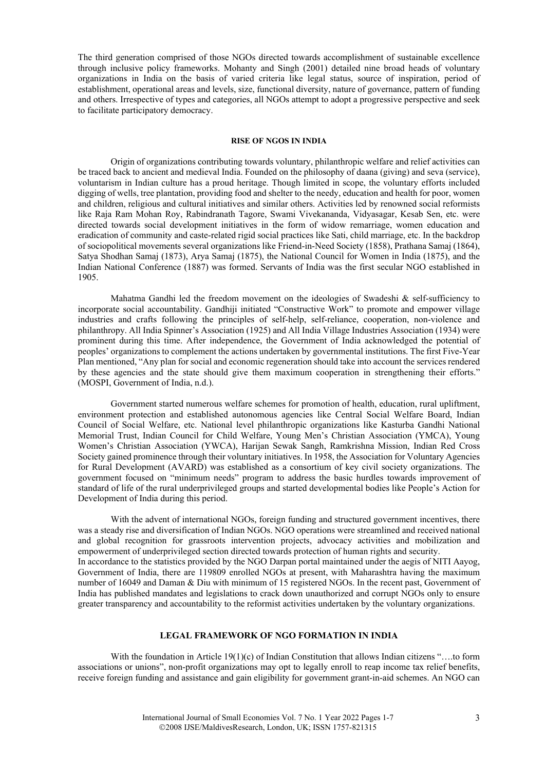The third generation comprised of those NGOs directed towards accomplishment of sustainable excellence through inclusive policy frameworks. Mohanty and Singh (2001) detailed nine broad heads of voluntary organizations in India on the basis of varied criteria like legal status, source of inspiration, period of establishment, operational areas and levels, size, functional diversity, nature of governance, pattern of funding and others. Irrespective of types and categories, all NGOs attempt to adopt a progressive perspective and seek to facilitate participatory democracy.

#### **RISE OF NGOS IN INDIA**

Origin of organizations contributing towards voluntary, philanthropic welfare and relief activities can be traced back to ancient and medieval India. Founded on the philosophy of daana (giving) and seva (service), voluntarism in Indian culture has a proud heritage. Though limited in scope, the voluntary efforts included digging of wells, tree plantation, providing food and shelter to the needy, education and health for poor, women and children, religious and cultural initiatives and similar others. Activities led by renowned social reformists like Raja Ram Mohan Roy, Rabindranath Tagore, Swami Vivekananda, Vidyasagar, Kesab Sen, etc. were directed towards social development initiatives in the form of widow remarriage, women education and eradication of community and caste-related rigid social practices like Sati, child marriage, etc. In the backdrop of sociopolitical movements several organizations like Friend-in-Need Society (1858), Prathana Samaj (1864), Satya Shodhan Samaj (1873), Arya Samaj (1875), the National Council for Women in India (1875), and the Indian National Conference (1887) was formed. Servants of India was the first secular NGO established in 1905.

Mahatma Gandhi led the freedom movement on the ideologies of Swadeshi & self-sufficiency to incorporate social accountability. Gandhiji initiated "Constructive Work" to promote and empower village industries and crafts following the principles of self-help, self-reliance, cooperation, non-violence and philanthropy. All India Spinner's Association (1925) and All India Village Industries Association (1934) were prominent during this time. After independence, the Government of India acknowledged the potential of peoples' organizations to complement the actions undertaken by governmental institutions. The first Five-Year Plan mentioned, "Any plan for social and economic regeneration should take into account the services rendered by these agencies and the state should give them maximum cooperation in strengthening their efforts." (MOSPI, Government of India, n.d.).

Government started numerous welfare schemes for promotion of health, education, rural upliftment, environment protection and established autonomous agencies like Central Social Welfare Board, Indian Council of Social Welfare, etc. National level philanthropic organizations like Kasturba Gandhi National Memorial Trust, Indian Council for Child Welfare, Young Men's Christian Association (YMCA), Young Women's Christian Association (YWCA), Harijan Sewak Sangh, Ramkrishna Mission, Indian Red Cross Society gained prominence through their voluntary initiatives. In 1958, the Association for Voluntary Agencies for Rural Development (AVARD) was established as a consortium of key civil society organizations. The government focused on "minimum needs" program to address the basic hurdles towards improvement of standard of life of the rural underprivileged groups and started developmental bodies like People's Action for Development of India during this period.

With the advent of international NGOs, foreign funding and structured government incentives, there was a steady rise and diversification of Indian NGOs. NGO operations were streamlined and received national and global recognition for grassroots intervention projects, advocacy activities and mobilization and empowerment of underprivileged section directed towards protection of human rights and security. In accordance to the statistics provided by the NGO Darpan portal maintained under the aegis of NITI Aayog, Government of India, there are 119809 enrolled NGOs at present, with Maharashtra having the maximum number of 16049 and Daman & Diu with minimum of 15 registered NGOs. In the recent past, Government of India has published mandates and legislations to crack down unauthorized and corrupt NGOs only to ensure greater transparency and accountability to the reformist activities undertaken by the voluntary organizations.

# **LEGAL FRAMEWORK OF NGO FORMATION IN INDIA**

With the foundation in Article 19(1)(c) of Indian Constitution that allows Indian citizens "....to form associations or unions", non-profit organizations may opt to legally enroll to reap income tax relief benefits, receive foreign funding and assistance and gain eligibility for government grant-in-aid schemes. An NGO can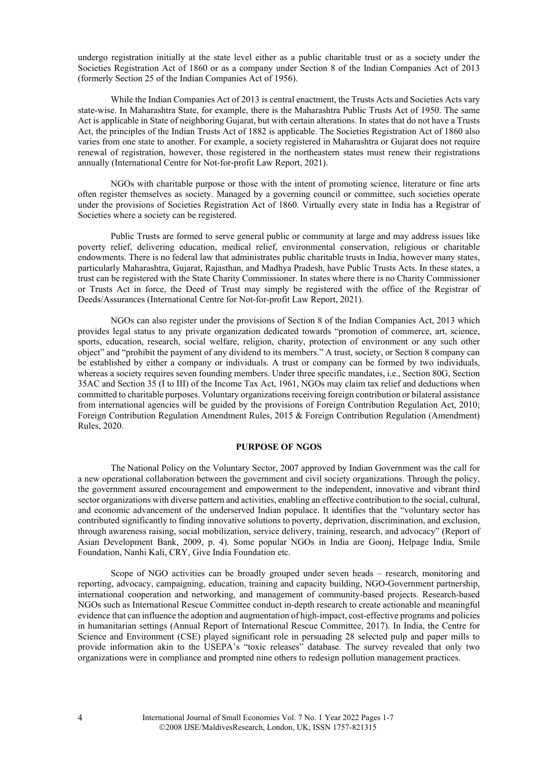undergo registration initially at the state level either as a public charitable trust or as a society under the Societies Registration Act of 1860 or as a company under Section 8 of the Indian Companies Act of 2013 (formerly Section 25 of the Indian Companies Act of 1956).

While the Indian Companies Act of 2013 is central enactment, the Trusts Acts and Societies Acts vary state-wise. In Maharashtra State, for example, there is the Maharashtra Public Trusts Act of 1950. The same Act is applicable in State of neighboring Gujarat, but with certain alterations. In states that do not have a Trusts Act, the principles of the Indian Trusts Act of 1882 is applicable. The Societies Registration Act of 1860 also varies from one state to another. For example, a society registered in Maharashtra or Gujarat does not require renewal of registration, however, those registered in the northeastern states must renew their registrations annually (International Centre for Not-for-profit Law Report, 2021).

NGOs with charitable purpose or those with the intent of promoting science, literature or fine arts often register themselves as society. Managed by a governing council or committee, such societies operate under the provisions of Societies Registration Act of 1860. Virtually every state in India has a Registrar of Societies where a society can be registered.

Public Trusts are formed to serve general public or community at large and may address issues like poverty relief, delivering education, medical relief, environmental conservation, religious or charitable endowments. There is no federal law that administrates public charitable trusts in India, however many states, particularly Maharashtra, Gujarat, Rajasthan, and Madhya Pradesh, have Public Trusts Acts. In these states, a trust can be registered with the State Charity Commissioner. In states where there is no Charity Commissioner or Trusts Act in force, the Deed of Trust may simply be registered with the office of the Registrar of Deeds/Assurances (International Centre for Not-for-profit Law Report, 2021).

NGOs can also register under the provisions of Section 8 of the Indian Companies Act, 2013 which provides legal status to any private organization dedicated towards "promotion of commerce, art, science, sports, education, research, social welfare, religion, charity, protection of environment or any such other object" and "prohibit the payment of any dividend to its members." A trust, society, or Section 8 company can be established by either a company or individuals. A trust or company can be formed by two individuals, whereas a society requires seven founding members. Under three specific mandates, i.e., Section 80G, Section 35AC and Section 35 (I to III) of the Income Tax Act, 1961, NGOs may claim tax relief and deductions when committed to charitable purposes. Voluntary organizations receiving foreign contribution or bilateral assistance from international agencies will be guided by the provisions of Foreign Contribution Regulation Act, 2010; Foreign Contribution Regulation Amendment Rules, 2015 & Foreign Contribution Regulation (Amendment) Rules, 2020.

## **PURPOSE OF NGOS**

The National Policy on the Voluntary Sector, 2007 approved by Indian Government was the call for a new operational collaboration between the government and civil society organizations. Through the policy, the government assured encouragement and empowerment to the independent, innovative and vibrant third sector organizations with diverse pattern and activities, enabling an effective contribution to the social, cultural, and economic advancement of the underserved Indian populace. It identifies that the "voluntary sector has contributed significantly to finding innovative solutions to poverty, deprivation, discrimination, and exclusion, through awareness raising, social mobilization, service delivery, training, research, and advocacy" (Report of Asian Development Bank, 2009, p. 4). Some popular NGOs in India are Goonj, Helpage India, Smile Foundation, Nanhi Kali, CRY, Give India Foundation etc.

Scope of NGO activities can be broadly grouped under seven heads – research, monitoring and reporting, advocacy, campaigning, education, training and capacity building, NGO-Government partnership, international cooperation and networking, and management of community-based projects. Research-based NGOs such as International Rescue Committee conduct in-depth research to create actionable and meaningful evidence that can influence the adoption and augmentation of high-impact, cost-effective programs and policies in humanitarian settings (Annual Report of International Rescue Committee, 2017). In India, the Centre for Science and Environment (CSE) played significant role in persuading 28 selected pulp and paper mills to provide information akin to the USEPA's "toxic releases" database. The survey revealed that only two organizations were in compliance and prompted nine others to redesign pollution management practices.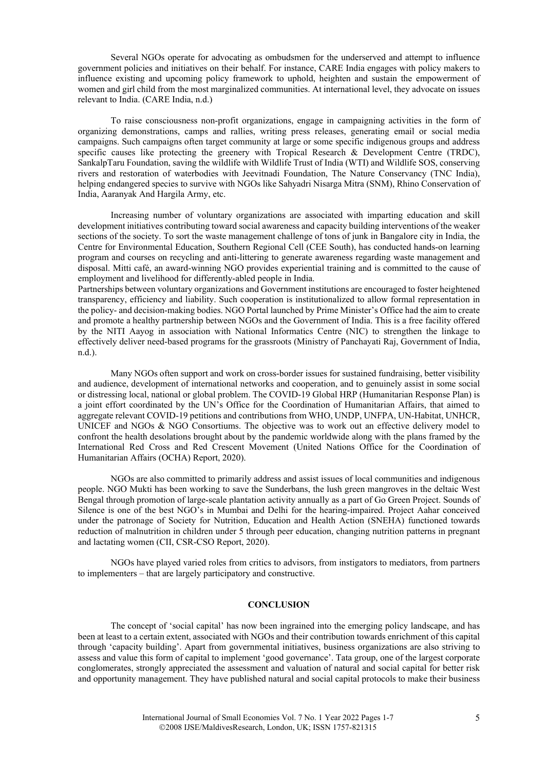Several NGOs operate for advocating as ombudsmen for the underserved and attempt to influence government policies and initiatives on their behalf. For instance, CARE India engages with policy makers to influence existing and upcoming policy framework to uphold, heighten and sustain the empowerment of women and girl child from the most marginalized communities. At international level, they advocate on issues relevant to India. (CARE India, n.d.)

To raise consciousness non-profit organizations, engage in campaigning activities in the form of organizing demonstrations, camps and rallies, writing press releases, generating email or social media campaigns. Such campaigns often target community at large or some specific indigenous groups and address specific causes like protecting the greenery with Tropical Research & Development Centre (TRDC), SankalpTaru Foundation, saving the wildlife with Wildlife Trust of India (WTI) and Wildlife SOS, conserving rivers and restoration of waterbodies with Jeevitnadi Foundation, The Nature Conservancy (TNC India), helping endangered species to survive with NGOs like Sahyadri Nisarga Mitra (SNM), Rhino Conservation of India, Aaranyak And Hargila Army, etc.

Increasing number of voluntary organizations are associated with imparting education and skill development initiatives contributing toward social awareness and capacity building interventions of the weaker sections of the society. To sort the waste management challenge of tons of junk in Bangalore city in India, the Centre for Environmental Education, Southern Regional Cell (CEE South), has conducted hands-on learning program and courses on recycling and anti-littering to generate awareness regarding waste management and disposal. Mitti café, an award-winning NGO provides experiential training and is committed to the cause of employment and livelihood for differently-abled people in India.

Partnerships between voluntary organizations and Government institutions are encouraged to foster heightened transparency, efficiency and liability. Such cooperation is institutionalized to allow formal representation in the policy- and decision-making bodies. NGO Portal launched by Prime Minister's Office had the aim to create and promote a healthy partnership between NGOs and the Government of India. This is a free facility offered by the NITI Aayog in association with National Informatics Centre (NIC) to strengthen the linkage to effectively deliver need-based programs for the grassroots (Ministry of Panchayati Raj, Government of India, n.d.).

Many NGOs often support and work on cross-border issues for sustained fundraising, better visibility and audience, development of international networks and cooperation, and to genuinely assist in some social or distressing local, national or global problem. The COVID-19 Global HRP (Humanitarian Response Plan) is a joint effort coordinated by the UN's Office for the Coordination of Humanitarian Affairs, that aimed to aggregate relevant COVID-19 petitions and contributions from WHO, UNDP, UNFPA, UN-Habitat, UNHCR, UNICEF and NGOs & NGO Consortiums. The objective was to work out an effective delivery model to confront the health desolations brought about by the pandemic worldwide along with the plans framed by the International Red Cross and Red Crescent Movement (United Nations Office for the Coordination of Humanitarian Affairs (OCHA) Report, 2020).

NGOs are also committed to primarily address and assist issues of local communities and indigenous people. NGO Mukti has been working to save the Sunderbans, the lush green mangroves in the deltaic West Bengal through promotion of large-scale plantation activity annually as a part of Go Green Project. Sounds of Silence is one of the best NGO's in Mumbai and Delhi for the hearing-impaired. Project Aahar conceived under the patronage of Society for Nutrition, Education and Health Action (SNEHA) functioned towards reduction of malnutrition in children under 5 through peer education, changing nutrition patterns in pregnant and lactating women (CII, CSR-CSO Report, 2020).

NGOs have played varied roles from critics to advisors, from instigators to mediators, from partners to implementers – that are largely participatory and constructive.

# **CONCLUSION**

The concept of 'social capital' has now been ingrained into the emerging policy landscape, and has been at least to a certain extent, associated with NGOs and their contribution towards enrichment of this capital through 'capacity building'. Apart from governmental initiatives, business organizations are also striving to assess and value this form of capital to implement 'good governance'. Tata group, one of the largest corporate conglomerates, strongly appreciated the assessment and valuation of natural and social capital for better risk and opportunity management. They have published natural and social capital protocols to make their business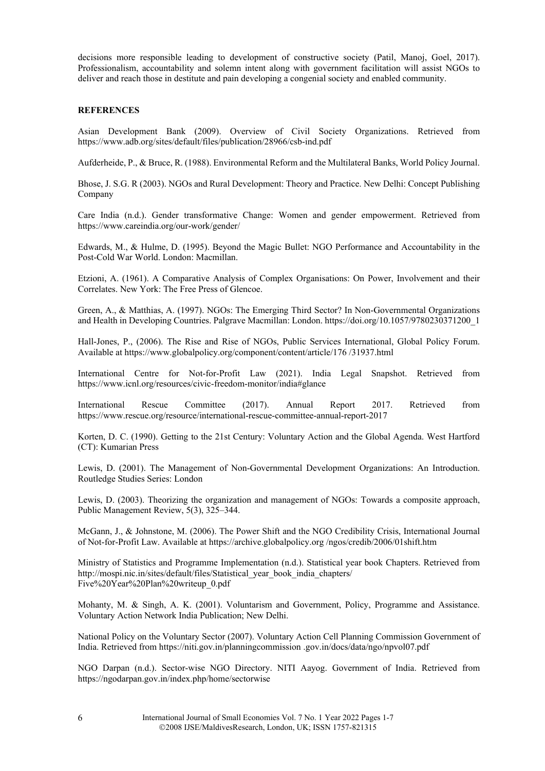decisions more responsible leading to development of constructive society (Patil, Manoj, Goel, 2017). Professionalism, accountability and solemn intent along with government facilitation will assist NGOs to deliver and reach those in destitute and pain developing a congenial society and enabled community.

# **REFERENCES**

Asian Development Bank (2009). Overview of Civil Society Organizations. Retrieved from https://www.adb.org/sites/default/files/publication/28966/csb-ind.pdf

Aufderheide, P., & Bruce, R. (1988). Environmental Reform and the Multilateral Banks, World Policy Journal.

Bhose, J. S.G. R (2003). NGOs and Rural Development: Theory and Practice. New Delhi: Concept Publishing Company

Care India (n.d.). Gender transformative Change: Women and gender empowerment. Retrieved from https://www.careindia.org/our-work/gender/

Edwards, M., & Hulme, D. (1995). Beyond the Magic Bullet: NGO Performance and Accountability in the Post-Cold War World. London: Macmillan.

Etzioni, A. (1961). A Comparative Analysis of Complex Organisations: On Power, Involvement and their Correlates. New York: The Free Press of Glencoe.

Green, A., & Matthias, A. (1997). NGOs: The Emerging Third Sector? In Non-Governmental Organizations and Health in Developing Countries. Palgrave Macmillan: London. https://doi.org/10.1057/9780230371200\_1

Hall-Jones, P., (2006). The Rise and Rise of NGOs, Public Services International, Global Policy Forum. Available at https://www.globalpolicy.org/component/content/article/176 /31937.html

International Centre for Not-for-Profit Law (2021). India Legal Snapshot. Retrieved from https://www.icnl.org/resources/civic-freedom-monitor/india#glance

International Rescue Committee (2017). Annual Report 2017. Retrieved from https://www.rescue.org/resource/international-rescue-committee-annual-report-2017

Korten, D. C. (1990). Getting to the 21st Century: Voluntary Action and the Global Agenda. West Hartford (CT): Kumarian Press

Lewis, D. (2001). The Management of Non-Governmental Development Organizations: An Introduction. Routledge Studies Series: London

Lewis, D. (2003). Theorizing the organization and management of NGOs: Towards a composite approach, Public Management Review, 5(3), 325–344.

McGann, J., & Johnstone, M. (2006). The Power Shift and the NGO Credibility Crisis, International Journal of Not-for-Profit Law. Available at https://archive.globalpolicy.org /ngos/credib/2006/01shift.htm

Ministry of Statistics and Programme Implementation (n.d.). Statistical year book Chapters. Retrieved from http://mospi.nic.in/sites/default/files/Statistical\_year\_book\_india\_chapters/ Five%20Year%20Plan%20writeup\_0.pdf

Mohanty, M. & Singh, A. K. (2001). Voluntarism and Government, Policy, Programme and Assistance. Voluntary Action Network India Publication; New Delhi.

National Policy on the Voluntary Sector (2007). Voluntary Action Cell Planning Commission Government of India. Retrieved from https://niti.gov.in/planningcommission .gov.in/docs/data/ngo/npvol07.pdf

NGO Darpan (n.d.). Sector-wise NGO Directory. NITI Aayog. Government of India. Retrieved from https://ngodarpan.gov.in/index.php/home/sectorwise